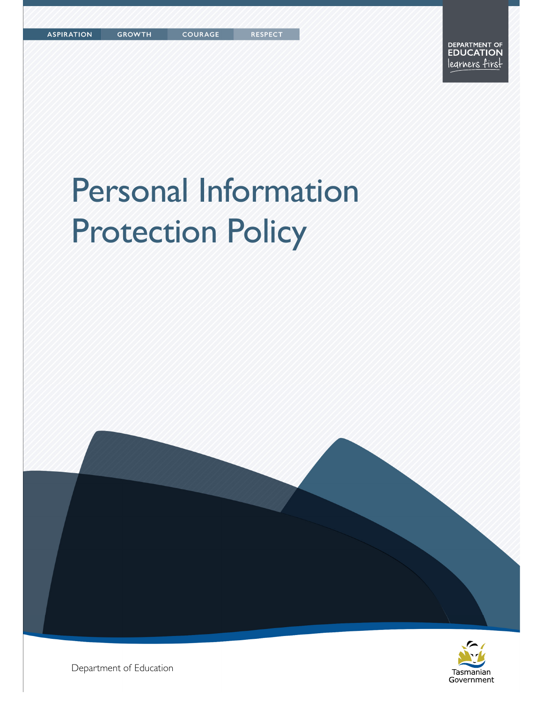COURAGE

# Personal Information Protection Policy





Department of Education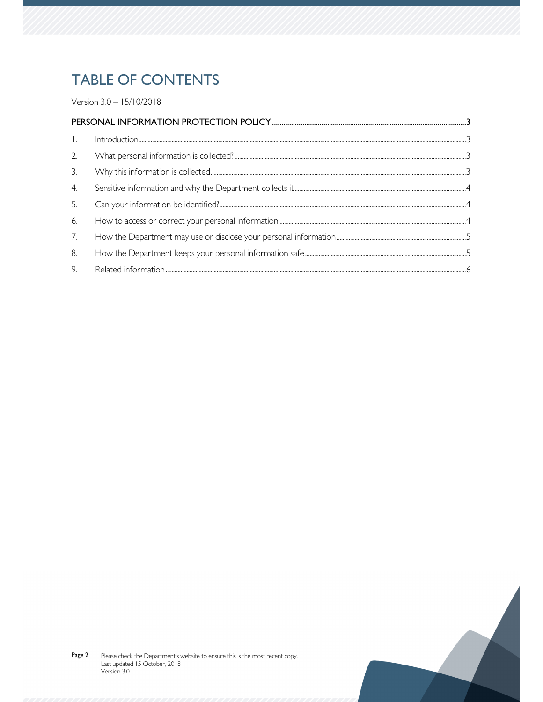# **TABLE OF CONTENTS**

Version 3.0 - 15/10/2018

| $\perp$ . |  |  |  |
|-----------|--|--|--|
| 2.        |  |  |  |
| 3.        |  |  |  |
| 4.        |  |  |  |
| 5.        |  |  |  |
| 6.        |  |  |  |
| 7.        |  |  |  |
| 8.        |  |  |  |
| 9.        |  |  |  |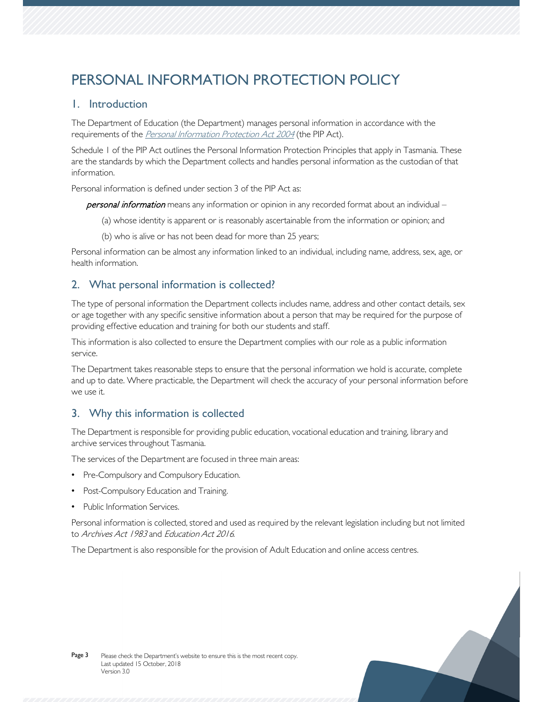# PERSONAL INFORMATION PROTECTION POLICY

### 1. Introduction

The Department of Education (the Department) manages personal information in accordance with the requirements of the *Personal Information Protection Act 2004* (the PIP Act).

Schedule 1 of the PIP Act outlines the Personal Information Protection Principles that apply in Tasmania. These are the standards by which the Department collects and handles personal information as the custodian of that information.

Personal information is defined under section 3 of the PIP Act as:

personal information means any information or opinion in any recorded format about an individual -

- (a) whose identity is apparent or is reasonably ascertainable from the information or opinion; and
- (b) who is alive or has not been dead for more than 25 years;

Personal information can be almost any information linked to an individual, including name, address, sex, age, or health information.

# 2. What personal information is collected?

The type of personal information the Department collects includes name, address and other contact details, sex or age together with any specific sensitive information about a person that may be required for the purpose of providing effective education and training for both our students and staff.

This information is also collected to ensure the Department complies with our role as a public information service.

The Department takes reasonable steps to ensure that the personal information we hold is accurate, complete and up to date. Where practicable, the Department will check the accuracy of your personal information before we use it.

## 3. Why this information is collected

The Department is responsible for providing public education, vocational education and training, library and archive services throughout Tasmania.

The services of the Department are focused in three main areas:

- Pre-Compulsory and Compulsory Education.
- Post-Compulsory Education and Training.
- Public Information Services.

Personal information is collected, stored and used as required by the relevant legislation including but not limited to Archives Act 1983 and Education Act 2016.

The Department is also responsible for the provision of Adult Education and online access centres.

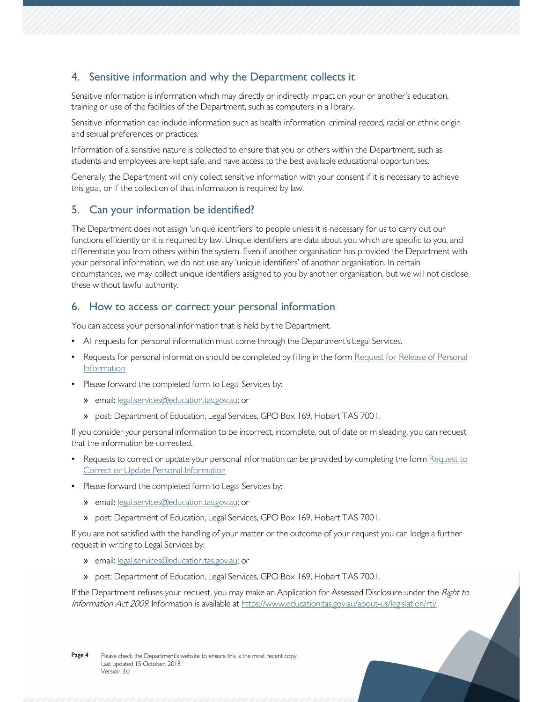# 4. Sensitive information and why the Department collects it

Sensitive information is information which may directly or indirectly impact on your or another's education, training or use of the facilities of the Department, such as computers in a library.

Sensitive information can include information such as health information, criminal record, racial or ethnic origin and sexual preferences or practices.

Information of a sensitive nature is collected to ensure that you or others within the Department, such as students and employees are kept safe, and have access to the best available educational opportunities.

Generally, the Department will only collect sensitive information with your consent if it is necessary to achieve this goal, or if the collection of that information is required by law.

## 5. Can your information be identified?

The Department does not assign 'unique identifiers' to people unless it is necessary for us to carry out our functions efficiently or it is required by law. Unique identifiers are data about you which are specific to you, and differentiate you from others within the system. Even if another organisation has provided the Department with your personal information, we do not use any 'unique identifiers' of another organisation. In certain circumstances, we may collect unique identifiers assigned to you by another organisation, but we will not disclose these without lawful authority.

#### 6. How to access or correct your personal information

You can access your personal information that is held by the Department.

- All requests for personal information must come through the Department's Legal Services.
- Requests for personal information should be completed by filling in the form Request for Release of Personal Information
- Please forward the completed form to Legal Services by:
	- » email: legal.services@education.tas.gov.au; or
	- » post: Department of Education, Legal Services, GPO Box 169, Hobart TAS 7001.

If you consider your personal information to be incorrect, incomplete, out of date or misleading, you can request that the information be corrected.

- Requests to correct or update your personal information can be provided by completing the form Request to **Correct or Update Personal Information**
- Please forward the completed form to Legal Services by:
	- » email: legal.services@education.tas.gov.au; or
	- » post: Department of Education, Legal Services, GPO Box 169, Hobart TAS 7001.

If you are not satisfied with the handling of your matter or the outcome of your request you can lodge a further request in writing to Legal Services by:

- » email: legal.services@education.tas.gov.au; or
- » post: Department of Education, Legal Services, GPO Box 169, Hobart TAS 7001.

If the Department refuses your request, you may make an Application for Assessed Disclosure under the Right to Information Act 2009. Information is available at https://www.education.tas.gov.au/about-us/legislation/rti/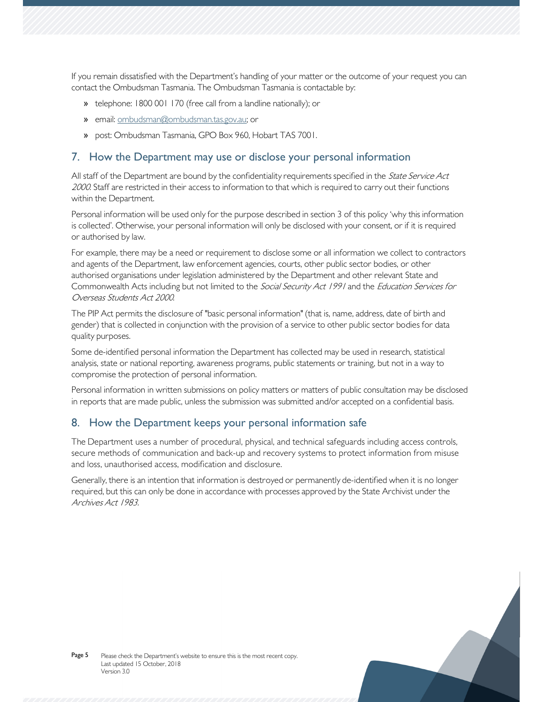If you remain dissatisfied with the Department's handling of your matter or the outcome of your request you can contact the Ombudsman Tasmania. The Ombudsman Tasmania is contactable by:

- » telephone: 1800 001 170 (free call from a landline nationally); or
- » email: ombudsman@ombudsman.tas.gov.au; or
- » post: Ombudsman Tasmania, GPO Box 960, Hobart TAS 7001.

#### 7. How the Department may use or disclose your personal information

All staff of the Department are bound by the confidentiality requirements specified in the State Service Act 2000. Staff are restricted in their access to information to that which is required to carry out their functions within the Department.

Personal information will be used only for the purpose described in section 3 of this policy 'why this information is collected'. Otherwise, your personal information will only be disclosed with your consent, or if it is required or authorised by law.

For example, there may be a need or requirement to disclose some or all information we collect to contractors and agents of the Department, law enforcement agencies, courts, other public sector bodies, or other authorised organisations under legislation administered by the Department and other relevant State and Commonwealth Acts including but not limited to the Social Security Act 1991 and the Education Services for Overseas Students Act 2000.

The PIP Act permits the disclosure of "basic personal information" (that is, name, address, date of birth and gender) that is collected in conjunction with the provision of a service to other public sector bodies for data quality purposes.

Some de-identified personal information the Department has collected may be used in research, statistical analysis, state or national reporting, awareness programs, public statements or training, but not in a way to compromise the protection of personal information.

Personal information in written submissions on policy matters or matters of public consultation may be disclosed in reports that are made public, unless the submission was submitted and/or accepted on a confidential basis.

#### 8. How the Department keeps your personal information safe

The Department uses a number of procedural, physical, and technical safeguards including access controls, secure methods of communication and back-up and recovery systems to protect information from misuse and loss, unauthorised access, modification and disclosure.

Generally, there is an intention that information is destroyed or permanently de-identified when it is no longer required, but this can only be done in accordance with processes approved by the State Archivist under the Archives Act 1983.